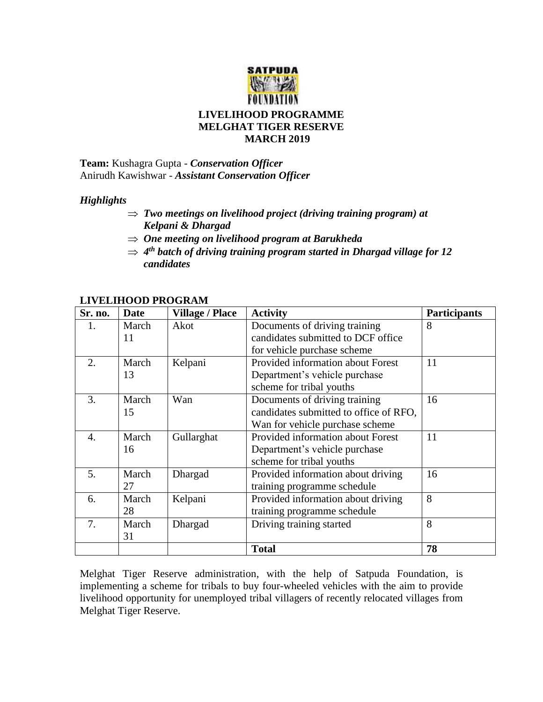

**Team:** Kushagra Gupta - *Conservation Officer* Anirudh Kawishwar - *Assistant Conservation Officer*

## *Highlights*

- *Two meetings on livelihood project (driving training program) at Kelpani & Dhargad*
- *One meeting on livelihood program at Barukheda*
- *4 th batch of driving training program started in Dhargad village for 12 candidates*

| Sr. no.          | <b>Date</b> | <b>Village / Place</b> | <b>Activity</b>                          | <b>Participants</b> |
|------------------|-------------|------------------------|------------------------------------------|---------------------|
| 1.               | March       | Akot                   | Documents of driving training            | 8                   |
|                  | 11          |                        | candidates submitted to DCF office       |                     |
|                  |             |                        | for vehicle purchase scheme              |                     |
| 2.               | March       | Kelpani                | <b>Provided information about Forest</b> | 11                  |
|                  | 13          |                        | Department's vehicle purchase            |                     |
|                  |             |                        | scheme for tribal youths                 |                     |
| 3.               | March       | Wan                    | Documents of driving training            | 16                  |
|                  | 15          |                        | candidates submitted to office of RFO,   |                     |
|                  |             |                        | Wan for vehicle purchase scheme          |                     |
| $\overline{4}$ . | March       | Gullarghat             | Provided information about Forest        | 11                  |
|                  | 16          |                        | Department's vehicle purchase            |                     |
|                  |             |                        | scheme for tribal youths                 |                     |
| 5.               | March       | Dhargad                | Provided information about driving       | 16                  |
|                  | 27          |                        | training programme schedule              |                     |
| 6.               | March       | Kelpani                | Provided information about driving       | 8                   |
|                  | 28          |                        | training programme schedule              |                     |
| 7.               | March       | Dhargad                | Driving training started                 | 8                   |
|                  | 31          |                        |                                          |                     |
|                  |             |                        | <b>Total</b>                             | 78                  |

## **LIVELIHOOD PROGRAM**

Melghat Tiger Reserve administration, with the help of Satpuda Foundation, is implementing a scheme for tribals to buy four-wheeled vehicles with the aim to provide livelihood opportunity for unemployed tribal villagers of recently relocated villages from Melghat Tiger Reserve.